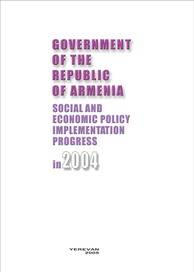# GOVERNMENT **OF THE REPUBLIC** OF ARMENIA

**SOCIAL AND ECONOMIC POLICY IMPLEMENTATION PROGRESS** 



YEREVAN 2005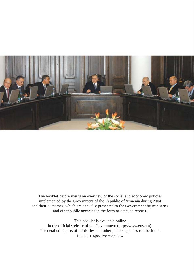

The booklet before you is an overview of the social and economic policies implemented by the Government of the Republic of Armenia during 2004 and their outcomes, which are annually presented to the Government by ministries and other public agencies in the form of detailed reports.

This booklet is available online in the official website of the Government (http://www.gov.am). The detailed reports of ministries and other public agencies can be found in their respective websites.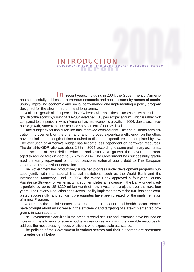#### IN REPORT IN THE MANUSCRIPT OF THE MANUSCRIPT OF THE PORT OF THE PORT OF THE PORT OF THE PORT OF THE PORT OF THE PORT OF THE PORT OF THE PORT OF THE PORT OF THE PORT OF THE PORT OF THE PORT OF THE PORT OF THE PORT OF THE P INTRODUCTION

In recent vears, including in 2004, the Government of Armenia has successfully addressed numerous economic and social issues by means of continuously improving economic and social performance and implementing a policy program designed for the short, medium, and long terms.

Real GDP growth of 10.1 percent in 2004 bears witness to these successes. As a result, real growth of the economy during 2000-2004 averaged 10.5 percent per annum, which is rather high compared to the period in which Armenia has had economic growth. In 2004, due to such economic growth, Armenia's GDP reached 99.6 percent of its 1989 level.

State budget execution discipline has improved considerably. Tax and customs administration improvement, on the one hand, and improved expenditure efficiency, on the other, have minimized the length of time required to disburse expenditures contemplated by law. The execution of Armenia's budget has become less dependent on borrowed resources. The deficit-to-GDP ratio was about 2.3% in 2004, according to some preliminary estimates.

On account of fiscal deficit reduction and faster GDP growth, the Government managed to reduce foreign debt to 32.7% in 2004. The Government has successfully graduated the early repayment of non-concessional external public debt to The European Union and The Russian Federation.

The Government has productively sustained progress under development programs pursued jointly with international financial institutions, such as the World Bank and the International Monetary Fund. In 2004, the World Bank approved a four-year Country Assistance Strategy for Armenia, which contemplates an increase in the Bank-funded credit portfolio by up to US \$220 million worth of new investment projects over the next four years. The Poverty Reduction and Growth Facility implemented with the IMF has been completed successfully, and sufficient prerequisites have been created for the implementation of a new Program.

Reforms in the social sectors have continued. Education and health sector reforms have brought about an increase in the efficiency and targeting of state-implemented programs in such sectors.

The Government's activities in the areas of social security and insurance have focused on increasing the efficiency of scarce budgetary resources and using the available resources to address the most pressing needs of citizens who expect state assistance.

The policies of the Government in various sectors and their outcomes are presented in greater detail below.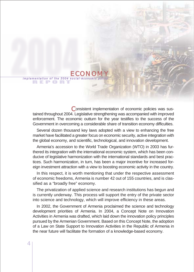# $\begin{array}{l} \textbf{ECONOMY} \ \textbf{F} \textbf{F} \textbf{F} \textbf{F} \textbf{F} \textbf{F} \textbf{F} \textbf{F} \textbf{F} \textbf{F} \textbf{F} \textbf{F} \textbf{F} \textbf{F} \textbf{F} \textbf{F} \textbf{F} \textbf{F} \textbf{F} \textbf{F} \textbf{F} \textbf{F} \textbf{F} \textbf{F} \textbf{F} \textbf{F} \textbf{F} \textbf{F} \textbf{F} \textbf{F} \textbf{F} \textbf{F} \textbf{F} \textbf{$

Consistent implementation of economic policies was sustained throughout 2004. Legislative strengthening was accompanied with improved enforcement. The economic outturn for the year testifies to the success of the Government in overcoming a considerable share of transition economy difficulties.

Several dozen thousand key laws adopted with a view to enhancing the free market have facilitated a greater focus on economic security, active integration with the global economy, and scientific, technological, and innovation development.

Armenia's accession to the World Trade Organization (WTO) in 2003 has furthered its integration with the international economic system, which has been conducive of legislative harmonization with the international standards and best practices. Such harmonization, in turn, has been a major incentive for increased foreign investment attraction with a view to boosting economic activity in the country.

In this respect, it is worth mentioning that under the respective assessment of economic freedoms, Armenia is number 42 out of 155 countries, and is classified as a "broadly free" economy.

The privatization of applied science and research institutions has begun and is currently underway. This process will support the entry of the private sector into science and technology, which will improve efficiency in these areas.

In 2002, the Government of Armenia proclaimed the science and technology development priorities of Armenia. In 2004, a Concept Note on Innovation Activities in Armenia was drafted, which laid down the innovation policy principles pursued by the Armenian Government. Based on this Concept Note, the adoption of a Law on State Support to Innovation Activities in the Republic of Armenia in the near future will facilitate the formation of a knowledge-based economy.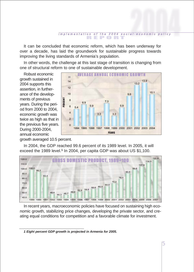#### REPORT im p l e m e n t a t l o n o f t h e 2004 social - e c o n o m i c p o lic y

It can be concluded that economic reform, which has been underway for over a decade, has laid the groundwork for sustainable progress towards improving the living standards of Armenia's population.

In other words, the challenge at this last stage of transition is changing from one of structural reform to one of sustainable development.

Robust economic growth sustained in 2004 supports this assertion, in furtherance of the developments of previous years. During the period from 2000 to 2004, economic growth was twice as high as that in the previous five years. During 2000-2004, annual economic



growth averaged 10.5 percent.

In 2004, the GDP reached 99.6 percent of its 1989 level. In 2005, it will exceed the 1989 level.**<sup>1</sup>** In 2004, per capita GDP was about US \$1,100.



In recent years, macroeconomic policies have focused on sustaining high economic growth, stabilizing price changes, developing the private sector, and creating equal conditions for competition and a favorable climate for investment.

*<sup>1</sup> Eight percent GDP growth is projected in Armenia for 2005.*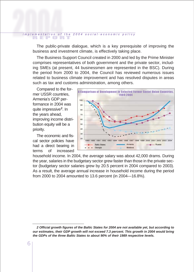# REPORT i <sup>m</sup> p l <sup>e</sup> <sup>m</sup> <sup>e</sup> <sup>n</sup> t <sup>a</sup> t i <sup>o</sup> n o f t h e 2 0 0 4 s <sup>o</sup> <sup>c</sup> i <sup>a</sup> l - <sup>e</sup> <sup>c</sup> <sup>o</sup> <sup>n</sup> <sup>o</sup> <sup>m</sup> i c p <sup>o</sup> l i <sup>c</sup> y

The public-private dialogue, which is a key prerequisite of improving the business and investment climate, is effectively taking place.

The Business Support Council created in 2000 and led by the Prime Minister comprises representatives of both government and the private sector, including SMEs (at present, 44 businessmen are represented in the BSC). During the period from 2000 to 2004, the Council has reviewed numerous issues related to business climate improvement and has resolved disputes in areas such as tax and customs administration, among others.

Compared to the former USSR countries, Armenia's GDP performance in 2004 was quite impressive**<sup>2</sup>**. In the years ahead, improving income distribution equity will be a priority.

The economic and fiscal sector policies have had a direct bearing in terms of increased



household income. In 2004, the average salary was about 42,000 drams. During the year, salaries in the budgetary sector grew faster than those in the private sector (budgetary sector salaries grew by 20.5 percent in 2004 compared to 2003). As a result, the average annual increase in household income during the period from 2000 to 2004 amounted to 13.6 percent (in 2004—16.8%).

*<sup>2</sup> Official growth figures of the Baltic States for 2004 are not available yet, but according to our estimates, their GDP growth will not exceed 7.3 percent. This growth in 2004 would bring the GDPs of the three Baltic States to about 90% of their 1989 respective levels.*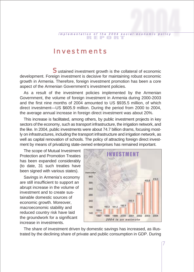#### Investments

Sustained investment growth is the collateral of economic development. Foreign investment is decisive for maintaining robust economic growth in Armenia. Therefore, foreign investment promotion has been a core aspect of the Armenian Government's investment policies.

As a result of the investment policies implemented by the Armenian Government, the volume of foreign investment in Armenia during 2000-2003 and the first nine months of 2004 amounted to US \$935.5 million, of which direct investment—US \$605.9 million. During the period from 2000 to 2004, the average annual increase in foreign direct investment was about 20%.

This increase is facilitated, among others, by public investment projects in key sectors of the economy, such as transport infrastructure, the irrigation network, and the like. In 2004, public investments were about 74.7 billion drams, focusing mostly on infrastructures, including the transport infrastructure and irrigation network, as well as capital renovation of schools. The policy of attracting foreign direct investment by means of privatizing state-owned enterprises has remained important.

The scope of Mutual Investment Protection and Promotion Treaties has been expanded considerably (to date, 31 such treaties have been signed with various states).

Savings in Armenia's economy are still insufficient to support an abrupt increase in the volume of investment and to create sustainable domestic sources of economic growth. Moreover, macroeconomic stability and reduced country risk have laid the groundwork for a significant increase in investments.



The share of investment driven by domestic savings has increased, as illustrated by the declining share of private and public consumption in GDP. During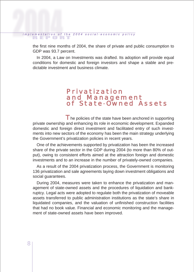# REPORT i <sup>m</sup> p l <sup>e</sup> <sup>m</sup> <sup>e</sup> <sup>n</sup> t <sup>a</sup> t i <sup>o</sup> n o f t h e 2 0 0 4 s <sup>o</sup> <sup>c</sup> i <sup>a</sup> l - <sup>e</sup> <sup>c</sup> <sup>o</sup> <sup>n</sup> <sup>o</sup> <sup>m</sup> i c p <sup>o</sup> l i <sup>c</sup> y

the first nine months of 2004, the share of private and public consumption to GDP was 93.7 percent.

In 2004, a Law on Investments was drafted. Its adoption will provide equal conditions for domestic and foreign investors and shape a stable and predictable investment and business climate.

# Privatization<br>and Management<br>of State-Owned Assets

The policies of the state have been anchored in supporting private ownership and enhancing its role in economic development. Expanded domestic and foreign direct investment and facilitated entry of such investments into new sectors of the economy has been the main strategy underlying the Government's privatization policies in recent years.

One of the achievements supported by privatization has been the increased share of the private sector in the GDP during 2004 (to more than 80% of output), owing to consistent efforts aimed at the attraction foreign and domestic investments and to an increase in the number of privately-owned companies.

As a result of the 2004 privatization process, the Government is monitoring 136 privatization and sale agreements laying down investment obligations and social guarantees.

During 2004, measures were taken to enhance the privatization and management of state-owned assets and the procedures of liquidation and bankruptcy. Legal acts were adopted to regulate both the privatization of moveable assets transferred to public administration institutions as the state's share in liquidated companies, and the valuation of unfinished construction facilities that had no book value. Financial and economic monitoring and the management of state-owned assets have been improved.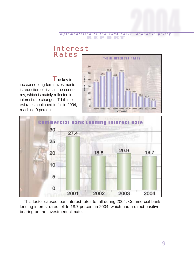

 $\blacksquare$  he key to increased long-term investments is reduction of risks in the economy, which is mainly reflected in interest rate changes. T-bill interest rates continued to fall in 2004, reaching 9 percent.





This factor caused loan interest rates to fall during 2004. Commercial bank lending interest rates fell to 18.7 percent in 2004, which had a direct positive bearing on the investment climate.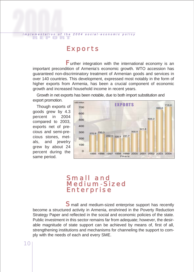#### REPORT i m p l e m e n t a tion of the 2004 social-economic policy

#### Exports

Further integration with the international economy is an important precondition of Armenia's economic growth. WTO accession has guaranteed non-discriminatory treatment of Armenian goods and services in over 140 countries. This development, expressed most notably in the form of higher exports from Armenia, has been a crucial component of economic growth and increased household income in recent years.

Growth in net exports has been notable, due to both import substitution and

export promotion. Though exports of

goods grew by 4.3 percent in 2004 compared to 2003, exports net of precious and semi-precious stones, metals, and jewelry grew by about 24 percent during the same period.



### Small and<br>Medium-Sized Enterprise

S mall and medium-sized enterprise support has recently become a structured activity in Armenia, enshrined in the Poverty Reduction Strategy Paper and reflected in the social and economic policies of the state. Public investment in this sector remains far from adequate; however, the desirable magnitude of state support can be achieved by means of, first of all, strengthening institutions and mechanisms for channeling the support to comply with the needs of each and every SME.

10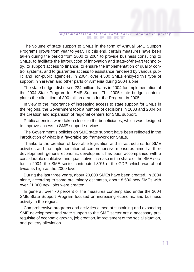#### REPORT implementation of the 2004 social-economic policy

The volume of state support to SMEs in the form of Annual SME Support Programs grows from year to year. To this end, certain measures have been taken during the period from 2000 to 2004 to provide business consulting to SMEs, to facilitate the introduction of innovation and state-of-the-art technology, to support access to finance, to ensure the implementation of quality control systems, and to guarantee access to assistance rendered by various public and non-public agencies. In 2004, over 4,500 SMEs enjoyed this type of support in Yerevan and other parts of Armenia during 2004 alone.

The state budget disbursed 234 million drams in 2004 for implementation of the 2004 State Program for SME Support. The 2005 state budget contemplates the allocation of 300 million drams for the Program in 2005.

In view of the importance of increasing access to state support for SMEs in the regions, the Government took a number of decisions in 2003 and 2004 on the creation and expansion of regional centers for SME support.

Public agencies were taken closer to the beneficiaries, which was designed to improve access to SME support services.

The Government's policies on SME state support have been reflected in the introduction of what is a favorable tax framework for SMEs.

Thanks to the creation of favorable legislation and infrastructures for SME activities and the implementation of comprehensive measures aimed at their development, general economic development has been accompanied with a considerable qualitative and quantitative increase in the share of the SME sector. In 2004, the SME sector contributed 39% of the GDP, which was about twice as high as the 2000 level.

During the last three years, about 20,000 SMEs have been created. In 2004 alone, according to some preliminary estimates, about 8,500 new SMEs with over 21,000 new jobs were created.

In general, over 70 percent of the measures contemplated under the 2004 SME State Support Program focused on increasing economic and business activity in the regions.

Comprehensive programs and activities aimed at sustaining and expanding SME development and state support to the SME sector are a necessary prerequisite of economic growth, job creation, improvement of the social situation, and poverty alleviation.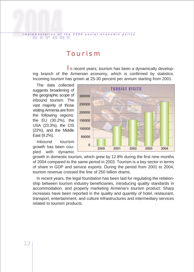#### Tourism

REPORT i <sup>m</sup> p l <sup>e</sup> <sup>m</sup> <sup>e</sup> <sup>n</sup> t <sup>a</sup> t i <sup>o</sup> n o f t h e 2 0 0 4 s <sup>o</sup> <sup>c</sup> i <sup>a</sup> l - <sup>e</sup> <sup>c</sup> <sup>o</sup> <sup>n</sup> <sup>o</sup> <sup>m</sup> i c p <sup>o</sup> l i <sup>c</sup> y

In recent years, tourism has been a dynamically developing branch of the Armenian economy, which is confirmed by statistics. Incoming tourism has grown at 25-30 percent per annum starting from 2001.

The data collected suggests broadening of the geographic scope of inbound tourism. The vast majority of those visiting Armenia are from the following regions: the EU (30.2%), the USA (23.3%), the CIS (22%), and the Middle East (9.2%).

Inbound tourism growth has been coupled with dynamic



growth in domestic tourism, which grew by 12.8% during the first nine months of 2004 compared to the same period in 2003. Tourism is a key sector in terms of share in GDP and service exports. During the period from 2001 to 2004, tourism revenue crossed the line of 250 billion drams.

In recent years, the legal foundation has been laid for regulating the relationship between tourism industry beneficiaries, introducing quality standards in accommodation, and properly marketing Armenia's tourism product. Sharp increases have been reported in the quality and quantity of hotel, restaurant, transport, entertainment, and culture infrastructures and intermediary services related to tourism products.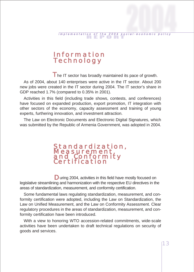# Information Technology

The IT sector has broadly maintained its pace of growth.

As of 2004, about 140 enterprises were active in the IT sector. About 200 new jobs were created in the IT sector during 2004. The IT sector's share in GDP reached 1.7% (compared to 0.35% in 2001).

Activities in this field (including trade shows, contests, and conferences) have focused on expanded production, export promotion, IT integration with other sectors of the economy, capacity assessment and training of young experts, furthering innovation, and investment attraction.

The Law on Electronic Documents and Electronic Digital Signatures, which was submitted by the Republic of Armenia Government, was adopted in 2004.

# Standardization,<br>Measurement,<br>and Conformity<br>Certification

D uring 2004, activities in this field have mostly focused on legislative streamlining and harmonization with the respective EU directives in the areas of standardization, measurement, and conformity certification.

Some fundamental laws regulating standardization, measurement, and conformity certification were adopted, including the Law on Standardization, the Law on Unified Measurement, and the Law on Conformity Assessment. Clear regulatory procedures in the areas of standardization, measurement, and conformity certification have been introduced.

With a view to honoring WTO accession-related commitments, wide-scale activities have been undertaken to draft technical regulations on security of goods and services.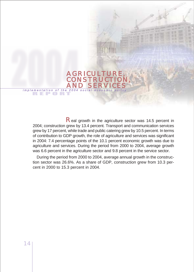Real growth in the agriculture sector was 14.5 percent in 2004; construction grew by 13.4 percent. Transport and communication services grew by 17 percent, while trade and public catering grew by 10.5 percent. In terms of contribution to GDP growth, the role of agriculture and services was significant in 2004: 7.4 percentage points of the 10.1 percent economic growth was due to agriculture and services. During the period from 2000 to 2004, average growth was 6.6 percent in the agriculture sector and 9.8 percent in the service sector.

AGRICULTURE,<br>CONSTRUCTION,<br>AND SERVICES

implementation of the 2004 social-economic policy

During the period from 2000 to 2004, average annual growth in the construction sector was 26.6%. As a share of GDP, construction grew from 10.3 percent in 2000 to 15.3 percent in 2004.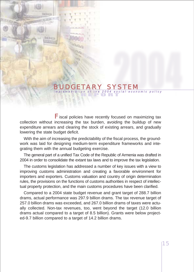#### ENTERNAL PORT I MARKET I STATE IN A SOCIAL PORT I CHARGE IN THE INTERNAL PROPERTY IN THE INTERNAL PROPERTY OF THE INTERNAL PROPERTY OF THE INTERNAL PROPERTY OF THE INTERNAL PROPERTY OF THE INTERNAL PROPERTY OF THE INTERNAL BUDGETARY SYSTEM

Fiscal policies have recently focused on maximizing tax collection without increasing the tax burden, avoiding the buildup of new expenditure arrears and clearing the stock of existing arrears, and gradually lowering the state budget deficit.

With the aim of increasing the predictability of the fiscal process, the groundwork was laid for designing medium-term expenditure frameworks and integrating them with the annual budgeting exercise.

The general part of a unified Tax Code of the Republic of Armenia was drafted in 2004 in order to consolidate the extant tax laws and to improve the tax legislation.

The customs legislation has addressed a number of key issues with a view to improving customs administration and creating a favorable environment for importers and exporters. Customs valuation and country of origin determination rules, the provisions on the functions of customs authorities in respect of intellectual property protection, and the main customs procedures have been clarified.

Compared to a 2004 state budget revenue and grant target of 288.7 billion drams, actual performance was 297.9 billion drams. The tax revenue target of 257.0 billion drams was exceeded, and 267.0 billion drams of taxes were actually collected. Non-tax revenues, too, went beyond the target (12.0 billion drams actual compared to a target of 8.5 billion). Grants were below projected-9.7 billion compared to a target of 14.2 billion drams.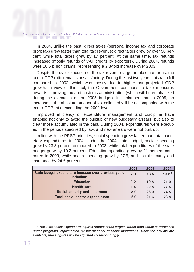# REPORT i <sup>m</sup> p l <sup>e</sup> <sup>m</sup> <sup>e</sup> <sup>n</sup> t <sup>a</sup> t i <sup>o</sup> n o f t h e 2 0 0 4 s <sup>o</sup> <sup>c</sup> i <sup>a</sup> l - <sup>e</sup> <sup>c</sup> <sup>o</sup> <sup>n</sup> <sup>o</sup> <sup>m</sup> i c p <sup>o</sup> l i <sup>c</sup> y

In 2004, unlike the past, direct taxes (personal income tax and corporate profit tax) grew faster than total tax revenue: direct taxes grew by over 50 percent, while total taxes grew by 17 percent. At the same time, tax refunds increased (mostly refunds of VAT credits by exporters). During 2004, refunds were 10.5 billion drams, representing a 2.8-fold increase over 2003.

Despite the over-execution of the tax revenue target in absolute terms, the tax-to-GDP ratio remains unsatisfactory. During the last two years, this ratio fell compared to 2002, which was mostly due to higher-than-projected GDP growth. In view of this fact, the Government continues to take measures towards improving tax and customs administration (which will be emphasized during the execution of the 2005 budget). It is planned that in 2005, an increase in the absolute amount of tax collected will be accompanied with the tax-to-GDP ratio exceeding the 2002 level.

Improved efficiency of expenditure management and discipline have enabled not only to avoid the buildup of new budgetary arrears, but also to clear those accumulated in the past. During 2004, expenditures were executed in the periods specified by law, and new arrears were not built up.

In line with the PRSP priorities, social spending grew faster than total budgetary expenditures in 2004. Under the 2004 state budget, social spending grew by 23.8 percent compared to 2003, while total expenditures of the state budget grew by 10.2 percent. Education spending grew by 21 percent compared to 2003, while health spending grew by 27.5, and social security and insurance-by 24.5 percent.

|                                                                     | 2002   | 2003 | 2004              |
|---------------------------------------------------------------------|--------|------|-------------------|
| State budget expenditure increase over previous year,<br>includinc: | 7.9    | 18.5 | 10.2 <sup>3</sup> |
| <b>Education</b>                                                    | 0.2    | 19.8 | 21.0              |
| <b>Health care</b>                                                  | 1.4    | 22.8 | 27.5              |
| Social security and insurance                                       | $-8.9$ | 23.0 | 24.5              |
| <b>Total social sector expenditures</b>                             | $-2.9$ | 21.6 | 23.8              |

*<sup>3</sup> The 2004 social expenditure figures represent the targets, rather than actual performance under programs implemented by international financial institutions. Once the actuals are available, these figures will be adjusted correspondingly.*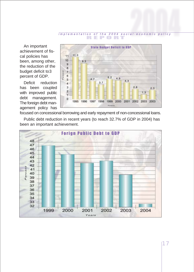An important achievement of fiscal policies has been, among other, the reduction of the budget deficit to3 percent of GDP.

Deficit reduction has been coupled with improved public debt management. The foreign debt management policy has



focused on concessional borrowing and early repayment of non-concessional loans.

Public debt reduction in recent years (to reach 32.7% of GDP in 2004) has been an important achievement.

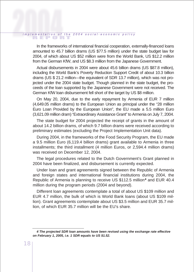# REPORT i <sup>m</sup> p l <sup>e</sup> <sup>m</sup> <sup>e</sup> <sup>n</sup> t <sup>a</sup> t i <sup>o</sup> n o f t h e 2 0 0 4 s <sup>o</sup> <sup>c</sup> i <sup>a</sup> l - <sup>e</sup> <sup>c</sup> <sup>o</sup> <sup>n</sup> <sup>o</sup> <sup>m</sup> i c p <sup>o</sup> l i <sup>c</sup> y

In the frameworks of international financial cooperation, externally-financed loans amounted to 45.7 billion drams (US \$77.5 million) under the state budget law for 2004, of which about US \$52 million were from the World Bank, US \$12.2 million from the German KfW, and US \$8.3 million from the Japanese Government.

Actual disbursements in 2004 were about 45.6 billion drams (US \$87.8 million), including the World Bank's Poverty Reduction Support Credit of about 10.3 billion drams (US \$ 21.2 million—the equivalent of SDR 13.7 million), which was not projected under the 2004 state budget. Though planned in the state budget, the proceeds of the loan supported by the Japanese Government were not received. The German KfW loan disbursement fell short of the target by US \$8 million.

On May 20, 2004, due to the early repayment by Armenia of EUR 7 million (4,649.05 million drams) to the European Union as principal under the "28 million Euro Loan Provided by the European Union", the EU made a 5.5 million Euro (3,621.09 million dram) "Extraordinary Assistance Grant" to Armenia on July 7, 2004.

The state budget for 2004 projected the receipt of grants in the amount of about 14.2 billion drams, of which 9.7 billion drams were received according to preliminary estimates (excluding the Project Implementation Unit data).

During 2004, in the frameworks of the Food Security Program, the EU made a 9.5 million Euro (6,119.4 billion drams) grant available to Armenia in three installments; the third installment (4 million Euros, or 2,594.4 million drams) was received on December 12, 2004.

The legal procedures related to the Dutch Government's Grant planned in 2004 have been finalized, and disbursement is currently expected.

Under loan and grant agreements signed between the Republic of Armenia and foreign states and international financial institutions during 2004, the Republic of Armenia is planning to receive US \$112.5 million**<sup>4</sup>** and EUR 40.4 million during the program periods (2004 and beyond).

Different loan agreements contemplate a total of about US \$109 million and EUR 4.7 million, the bulk of which is World Bank loans (about US \$109 million). Grant agreements contemplate about US \$3.5 million and EUR 35.7 million, of which EUR 35.7 million will be the EU's share.

*<sup>4</sup> The projected SDR loan amounts have been revised using the exchange rate effective on February 1, 2005, i.e. 1 SDR equals to US \$1.52.*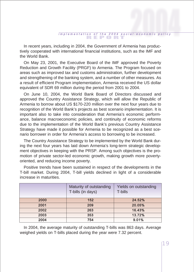In recent years, including in 2004, the Government of Armenia has productively cooperated with international financial institutions, such as the IMF and the World Bank.

On May 23, 2001, the Executive Board of the IMF approved the Poverty Reduction and Growth Facility (PRGF) to Armenia. The Program focused on areas such as improved tax and customs administration, further development and strengthening of the banking system, and a number of other measures. As a result of efficient Program implementation, Armenia received the US dollar equivalent of SDR 69 million during the period from 2001 to 2004.

On June 10, 2004, the World Bank Board of Directors discussed and approved the Country Assistance Strategy, which will allow the Republic of Armenia to borrow about US \$170-220 million over the next four years due to recognition of the World Bank's projects as best scenario implementation. It is important also to take into consideration that Armenia's economic performance, balance macroeconomic policies, and continuity of economic reforms due to the implementation of the World Bank's previous Country Assistance Strategy have made it possible for Armenia to be recognized as a best scenario borrower in order for Armenia's access to borrowing to be increased.

The Country Assistance Strategy to be implemented by the World Bank during the next four years has laid down Armenia's long-term strategic development objectives in keeping with the PRSP. Among such objectives is the promotion of private sector-led economic growth, making growth more povertyoriented, and reducing income poverty.

Positive trends have been sustained in respect of the developments in the T-bill market. During 2004, T-bill yields declined in light of a considerable increase in maturities.

|      | Maturity of outstanding<br>T-bills (in days) | Yields on outstanding<br>T-bills |
|------|----------------------------------------------|----------------------------------|
| 2000 | 152                                          | 24.52%                           |
| 2001 | 209                                          | 20.05%                           |
| 2002 | 263                                          | 16.43%                           |
| 2003 | 353                                          | 13.72%                           |
| 2004 | 754                                          | 9.01%                            |

In 2004, the average maturity of outstanding T-bills was 863 days. Average weighed yields on T-bills placed during the year were 7.32 percent.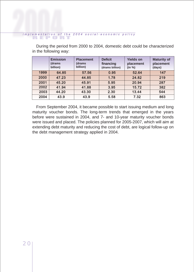#### REPORT implementation of the 2004 social-economic policy

During the period from 2000 to 2004, domestic debt could be characterized in the following way:

|      | <b>Emission</b><br>(drams<br>billion) | <b>Placement</b><br>(drams<br>billion) | <b>Deficit</b><br>financing<br>(drams billion) | <b>Yields on</b><br>placement<br>(in %) | <b>Maturity of</b><br>placement<br>(days) |
|------|---------------------------------------|----------------------------------------|------------------------------------------------|-----------------------------------------|-------------------------------------------|
| 1999 | 64.85                                 | 57.56                                  | 0.95                                           | 52.64                                   | 147                                       |
| 2000 | 47.23                                 | 44.85                                  | 1.78                                           | 24.82                                   | 219                                       |
| 2001 | 45.20                                 | 45.91                                  | 5.95                                           | 20.94                                   | 287                                       |
| 2002 | 41.94                                 | 41.88                                  | 3.95                                           | 15.72                                   | 382                                       |
| 2003 | 44.20                                 | 43.30                                  | 2.30                                           | 13.44                                   | 544                                       |
| 2004 | 43.9                                  | 43.9                                   | 5.58                                           | 7.32                                    | 863                                       |

From September 2004, it became possible to start issuing medium and long maturity voucher bonds. The long-term trends that emerged in the years before were sustained in 2004, and 7- and 10-year maturity voucher bonds were issued and placed. The policies planned for 2005-2007, which will aim at extending debt maturity and reducing the cost of debt, are logical follow-up on the debt management strategy applied in 2004.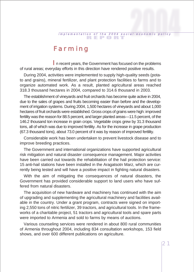#### Farming

In recent vears, the Government has focused on the problems of rural areas; everyday efforts in this direction have rendered positive results.

During 2004, activities were implemented to supply high-quality seeds (potato and grains), mineral fertilizer, and plant protection facilities to farms and to organize automated work. As a result, planted agricultural areas reached 318.3 thousand hectares in 2004, compared to 314.6 thousand in 2003.

The establishment of vineyards and fruit orchards has become quite active in 2004, due to the sales of grapes and fruits becoming easier than before and the development of irrigation systems. During 2004, 1,500 hectares of vineyards and about 1,000 hectares of fruit orchards were established. Gross crops of grains were high: improved fertility was the reason for 88.5 percent, and larger planted areas—11.5 percent, of the 146.2 thousand ton increase in grain crops. Vegetable crops grew by 31.3 thousand tons, all of which was due to improved fertility. As for the increase in grape production (67.3 thousand tons), about 73.0 percent of it was by reason of improved fertility.

Considerable work has been undertaken to prevent livestock disease and to improve breeding practices.

The Government and international organizations have supported agricultural risk mitigation and natural disaster consequence management. Major activities have been carried out towards the rehabilitation of the hail protection service: 15 anti-hail stations have been installed in the Aragatsotn Marz, which are currently being tested and will have a positive impact in fighting natural disasters.

With the aim of mitigating the consequences of natural disasters, the Government has provided considerable support to land users who have suffered from natural disasters.

The acquisition of new hardware and machinery has continued with the aim of upgrading and supplementing the agricultural machinery and facilities available in the country. Under a grant program, contracts were signed on importing 2,550 tons of nitric fertilizer, 39 tractors, and agricultural tools. In the frameworks of a charitable project, 51 tractors and agricultural tools and spare parts were imported to Armenia and sold to farms by means of auctions.

Various counseling services were rendered in about 800 rural communities of Armenia throughout 2004, including 834 consultation workshops, 153 field shows, and over 600 different publications on agriculture.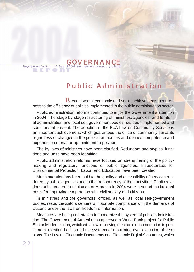### Public Administration

R ecent years' economic and social achievements bear witness to the efficiency of policies implemented in the public administration sector.

implementation of the 2004 social-economic policy

GOVERNAN

Public administration reforms continued to enjoy the Government's attention in 2004. The stage-by-stage restructuring of ministries, agencies, and territorial administration and local self-government bodies has been implemented and continues at present. The adoption of the RoA Law on Community Service is an important achievement, which guarantees the office of community servants regardless of changes in the political authorities and defines competence and experience criteria for appointment to position.

The by-laws of ministries have been clarified. Redundant and atypical functions and units have been identified.

Public administration reforms have focused on strengthening of the policymaking and regulatory functions of public agencies. Inspectorates for Environmental Protection, Labor, and Education have been created.

Much attention has been paid to the quality and accessibility of services rendered by public agencies and to the transparency of their activities. Public relations units created in ministries of Armenia in 2004 were a sound institutional basis for improving cooperation with civil society and citizens.

In ministries and the governors' offices, as well as local self-government bodies, resource/visitors centers will facilitate compliance with the demands of citizens under the laws on freedom of information.

Measures are being undertaken to modernize the system of public administration. The Government of Armenia has approved a World Bank project for Public Sector Modernization, which will allow improving electronic documentation in public administration bodies and the systems of monitoring over execution of decisions. The Law on Electronic Documents and Electronic Digital Signatures, which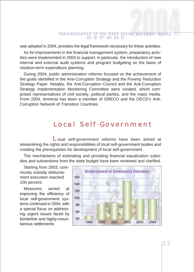was adopted in 2004, provides the legal framework necessary for these activities.

As for improvements in the financial management system, preparatory activities were implemented in 2004 to support, in particular, the introduction of new internal and external audit systems and program budgeting on the basis of medium-term expenditure planning.

During 2004, public administration reforms focused on the achievement of the goals identified in the Anti-Corruption Strategy and the Poverty Reduction Strategy Paper. Notably, the Anti-Corruption Council and the Anti-Corruption Strategy Implementation Monitoring Committee were created, which comprised representatives of civil society, political parties, and the mass media. From 2004, Armenia has been a member of GRECO and the OECD's Anti-Corruption Network of Transition Countries.

#### Local Self-Government

Local self-government reforms have been aimed at streamlining the rights and responsibilities of local self-government bodies and creating the prerequisites for development of local self-government.

The mechanisms of estimating and providing financial equalization subsidies and subventions from the state budget have been reviewed and clarified.

Starting from 2003, community subsidy disbursement execution reached 100 percent.

Measures aimed at improving the efficiency of local self-government systems continued in 2004, with a special focus on addressing urgent issues faced by borderline and highly-mountainous settlements.

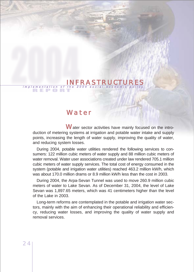#### Implementation of the 2004 social-economic policy INFRASTRUCTURES

#### Water

Water sector activities have mainly focused on the introduction of metering systems at irrigation and potable water intake and supply points, increasing the length of water supply, improving the quality of water, and reducing system losses.

During 2004, potable water utilities rendered the following services to consumers: 122 million cubic meters of water supply and 88 million cubic meters of water removal. Water user associations created under law rendered 705.1 million cubic meters of water supply services. The total cost of energy consumed in the system (potable and irrigation water utilities) reached 463.2 million kW/h, which was about 170.0 million drams or 8.9 million kW/h less than the cost in 2003.

During 2004, the Arpa-Sevan Tunnel was used to move 260.9 million cubic meters of water to Lake Sevan. As of December 31, 2004, the level of Lake Sevan was 1,897.65 meters, which was 41 centimeters higher than the level of the Lake in 2003.

Long-term reforms are contemplated in the potable and irrigation water sectors, mainly with the aim of enhancing their operational reliability and efficiency, reducing water losses, and improving the quality of water supply and removal services.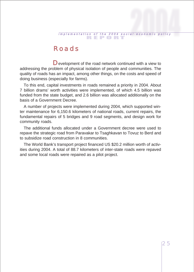#### Roads

Development of the road network continued with a view to addressing the problem of physical isolation of people and communities. The quality of roads has an impact, among other things, on the costs and speed of doing business (especially for farms).

To this end, capital investments in roads remained a priority in 2004. About 7 billion drams' worth activities were implemented, of which 4.5 billion was funded from the state budget, and 2.6 billion was allocated additionally on the basis of a Government Decree.

A number of projects were implemented during 2004, which supported winter maintenance for 6,150.6 kilometers of national roads, current repairs, the fundamental repairs of 5 bridges and 9 road segments, and design work for community roads.

The additional funds allocated under a Government decree were used to repave the strategic road from Paravakar to Tsaghkavan to Tovuz to Berd and to subsidize road construction in 8 communities.

The World Bank's transport project financed US \$20.2 million worth of activities during 2004. A total of 88.7 kilometers of inter-state roads were repaved and some local roads were repaired as a pilot project.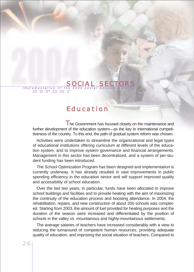#### implementation of the 2004 social-economic policy SOCI

#### Education

The Government has focused closely on the maintenance and further development of the education system—as the key to international competitiveness of the country. To this end, the path of gradual system reform was chosen.

Activities were undertaken to streamline the organizational and legal types of educational institutions offering curriculum at different levels of the education system, and to improve system governance and financial arrangements. Management in this sector has been decentralized, and a system of per-student funding has been introduced.

The School Optimization Program has been designed and implementation is currently underway. It has already resulted in vast improvements in public spending efficiency in the education sector and will support improved quality and accessibility of school education.

Over the last two years, in particular, funds have been allocated to improve school buildings and facilities and to provide heating with the aim of maximizing the continuity of the education process and boosting attendance. In 2004, the rehabilitation, repairs, and new construction of about 200 schools was completed. Starting from 2003, the amount of fuel provided for heating purposes and the duration of the season were increased and differentiated by the position of schools in the valley vs. mountainous and highly-mountainous settlements.

The average salaries of teachers have increased considerably with a view to reducing the turnaround of competent human resources, providing adequate quality of education, and improving the social situation of teachers. Compared to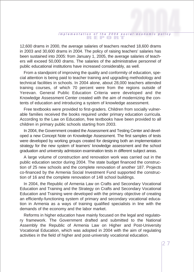12,600 drams in 2000, the average salaries of teachers reached 18,600 drams in 2003 and 30,600 drams in 2004. The policy of raising teachers' salaries has been sustained into 2005: from January 1, 2005, the average salaries of teachers will exceed 50,000 drams. The salaries of the administrative personnel of public educational institutions have increased considerably, as well.

From a standpoint of improving the quality and conformity of education, special attention is being paid to teacher training and upgrading methodology and technical facilities in schools. In 2004 alone, about 28,000 teachers attended training courses, of which 70 percent were from the regions outside of Yerevan. General Public Education Criteria were developed and the Knowledge Assessment Center created with the aim of modernizing the contents of education and introducing a system of knowledge assessment.

Free textbooks were provided to first-graders. Children from socially vulnerable families received the books required under primary education curricula. According to the Law on Education, free textbooks have been provided to all children in primary public schools starting from 2003.

In 2004, the Government created the Assessment and Testing Center and developed a new Concept Note on Knowledge Assessment. The first samples of tests were developed by working groups created for designing both an implementation strategy for the new system of learners' knowledge assessment and the school graduation and university admission examination tests in different subject areas.

A large volume of construction and renovation work was carried out in the public education sector during 2004. The state budget financed the construction of 25 new schools and the complete renovation of another 187. Projects co-financed by the Armenia Social Investment Fund supported the construction of 16 and the complete renovation of 148 school buildings.

In 2004, the Republic of Armenia Law on Crafts and Secondary Vocational Education and Training and the Strategy on Crafts and Secondary Vocational Education and Training were developed with the primary objective of creating an efficiently-functioning system of primary and secondary vocational education in Armenia as a ways of training qualified specialists in line with the demands of the economy and the labor market.

Reforms in higher education have mainly focused on the legal and regulatory framework. The Government drafted and submitted to the National Assembly the Republic of Armenia Law on Higher and Post-University Vocational Education, which was adopted in 2004 with the aim of regulating activities in the field of higher and post-university vocational education.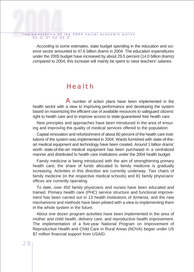# REPORT i <sup>m</sup> p l <sup>e</sup> <sup>m</sup> <sup>e</sup> <sup>n</sup> t <sup>a</sup> t i <sup>o</sup> n o f t h e 2 0 0 4 s <sup>o</sup> <sup>c</sup> i <sup>a</sup> l - <sup>e</sup> <sup>c</sup> <sup>o</sup> <sup>n</sup> <sup>o</sup> <sup>m</sup> i c p <sup>o</sup> l i <sup>c</sup> y

According to some estimates, state budget spending in the education and science sector amounted to 47.6 billion drams in 2004. The education expenditures under the 2005 budget have increased by about 29.5 percent (14.0 billion drams) compared to 2004; this increase will mainly be spent to raise teachers' salaries.

#### Health

A number of action plans have been implemented in the health sector with a view to improving performance and developing the system based on maximizing the efficient use of available resources to safeguard citizens' right to health care and to improve access to state-guaranteed free health care.

New principles and approaches have been introduced in the area of ensuring and improving the quality of medical services offered to the population.

Capital renovation and refurbishment of about 80 percent of the health care institutions of the system was implemented in 2004. Wards furnished with state-of-theart medical equipment and technology have been created. Around 1 billion drams' worth state-of-the-art medical equipment has been purchased in a centralized manner and distributed to health care institutions under the 2004 health budget.

Family medicine is being introduced with the aim of strengthening primary health care; the share of funds allocated to family medicine is gradually increasing. Activities in this direction are currently underway. Two chairs of family medicine (in the respective medical schools) and 81 family physicians' offices are currently operating.

To date, over 450 family physicians and nurses have been educated and trained. Primary health care (PHC) service structure and functional improvement has been carried out in 13 health institutions of Armenia, and the new mechanisms and methods have been piloted with a view to implementing them in the whole system in the future.

About one dozen program activities have been implemented in the area of mother and child health, delivery care, and reproductive health improvement. The implementation of a five-year National Program on Improvement of Reproductive Health and Child Care in Rural Areas (NOVA) began under US \$7 million financial support from USAID.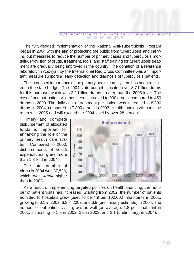The fully-fledged implementation of the National Anti-Tuberculosis Program began in 2004 with the aim of protecting the public from tuberculosis and carrying out measures to reduce the number of primary cases and tuberculosis mortality. Provision of drugs, treatment, tools, and staff training for tuberculosis treatment are gradually being improved in the country. The donation of a reference laboratory in Abovyan by the International Red Cross Committee was an important measure supporting early detection and diagnosis of tuberculosis patients.

The increased importance of the primary health care system has been reflected in the state budget. The 2004 state budget allocated over 8.7 billion drams for this purpose, which was 2.2 billion drams greater than the 2003 level. The cost of one out-patient visit has been increased to 900 drams, compared to 450 drams in 2003. The daily cost of treatment per patient was increased to 8,300 drams in 2004, compared to 7,300 drams in 2003. Health funding will continue to grow in 2005 and will exceed the 2004 level by over 28 percent.

Timely and complete disbursement of allocated funds is important for enhancing the role of the primary health care system. Compared to 2000, disbursements of health expenditures grew more than 1.8-fold in 2004.

The total number of births in 2004 was 37,526, which was 4.8% higher than in 2003.



As a result of implementing targeted policies on health financing, the number of patient visits has increased. Starting from 2002, the number of patients admitted to hospitals grew (used to be 4.9 per 100,000 inhabitants in 2001, growing to 6.1 in 2002, 6.8 in 2003, and 6.9 (preliminary estimate) in 2004. The number of out-patient visits grew, as well (on average, 1.8 per inhabitant in 2001, increasing to 1.9 in 2002, 2.0 in 2003, and 2.1 (preliminary) in 2004).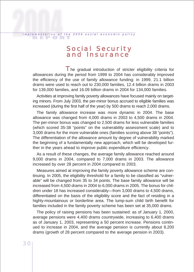# REPORT i <sup>m</sup> p l <sup>e</sup> <sup>m</sup> <sup>e</sup> <sup>n</sup> t <sup>a</sup> t i <sup>o</sup> n o f t h e 2 0 0 4 s <sup>o</sup> <sup>c</sup> i <sup>a</sup> l - <sup>e</sup> <sup>c</sup> <sup>o</sup> <sup>n</sup> <sup>o</sup> <sup>m</sup> i c p <sup>o</sup> l i <sup>c</sup> y

Social Security and Insurance

The gradual introduction of stricter eligibility criteria for allowances during the period from 1999 to 2004 has considerably improved the efficiency of the use of family allowance funding: in 1999, 21.1 billion drams were used to reach out to 230,000 families, 12.4 billion drams in 2003 for 139,000 families, and 16.09 billion drams in 2004 for 134,000 families.

Activities at improving family poverty allowances have focused mainly on targeting minors. From July 2003, the per-minor bonus accrued to eligible families was increased (during the first half of the year) by 500 drams to reach 2,000 drams.

The family allowance increase was more dynamic in 2004. The base allowance was changed from 4,000 drams in 2003 to 4,500 drams in 2004. The per-minor bonus was changed to 2,500 drams for less vulnerable families (which scored 35-38 "points" on the vulnerability assessment scale) and to 3,000 drams for the more vulnerable ones (families scoring above 38 "points"). The differentiation of the allowance amount by degree of vulnerability marked the beginning of a fundamentally new approach, which will be developed further in the years ahead to improve public expenditure efficiency.

As a result of these changes, the average family allowance reached around 9,000 drams in 2004, compared to 7,000 drams in 2003. The allowance increased by over 28 percent in 2004 compared to 2003.

Measures aimed at improving the family poverty allowance scheme are continuing. In 2005, the eligibility threshold for a family to be classified as "vulnerable" will be changed from 35 to 34 points. The base family allowance will be increased from 4,500 drams in 2004 to 6,000 drams in 2005. The bonus for children under 18 has increased considerably—from 3,000 drams to 4,500 drams, differentiated on the basis of the eligibility score and the fact of residing in a highly-mountainous or borderline area. The lump-sum child birth benefit for families included in the family poverty scheme has been set at 35,000 drams.

The policy of raising pensions has been sustained: as of January 1, 2000, average pensions were 4,400 drams countrywide, increasing to 6,400 drams as of January 1, 2003, representing a 50 percent increase. Pensions continued to increase in 2004, and the average pension is currently about 8,200 drams (growth of 28 percent compared to the average pension in 2003).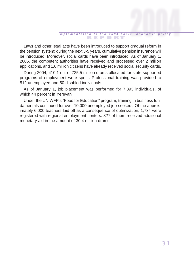Laws and other legal acts have been introduced to support gradual reform in the pension system; during the next 3-5 years, cumulative pension insurance will be introduced. Moreover, social cards have been introduced. As of January 1, 2005, the competent authorities have received and processed over 2 million applications, and 1.6 million citizens have already received social security cards.

During 2004, 410.1 out of 725.5 million drams allocated for state-supported programs of employment were spent. Professional training was provided to 512 unemployed and 50 disabled individuals.

As of January 1, job placement was performed for 7,893 individuals, of which 44 percent in Yerevan.

Under the UN WFP's "Food for Education" program, training in business fundamentals continued for over 10,000 unemployed job-seekers. Of the approximately 6,000 teachers laid off as a consequence of optimization, 1,734 were registered with regional employment centers. 327 of them received additional monetary aid in the amount of 30.4 million drams.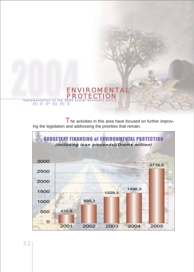

The activities in this area have focused on further improving the legislation and addressing the priorities that remain.



32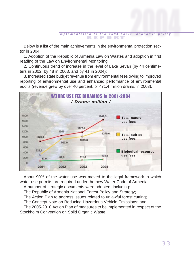Below is a list of the main achievements in the environmental protection sector in 2004:

1. Adoption of the Republic of Armenia Law on Wastes and adoption in first reading of the Law on Environmental Monitoring;

2. Continuous trend of increase in the level of Lake Sevan (by 44 centimeters in 2002, by 48 in 2003, and by 41 in 2004);

3. Increased state budget revenue from environmental fees owing to improved reporting of environmental use and enhanced performance of environmental audits (revenue grew by over 40 percent, or 471.4 million drams, in 2003).



About 90% of the water use was moved to the legal framework in which water use permits are required under the new Water Code of Armenia; A number of strategic documents were adopted, including:

The Republic of Armenia National Forest Policy and Strategy;

The Action Plan to address issues related to unlawful forest cutting;

The Concept Note on Reducing Hazardous Vehicle Emissions; and

The 2005-2010 Action Plan of measures to be implemented in respect of the Stockholm Convention on Solid Organic Waste.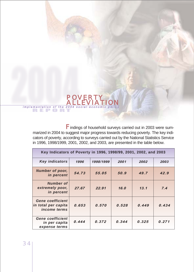

Findings of household surveys carried out in 2003 were summarized in 2004 to suggest major progress towards reducing poverty. The key indicators of poverty, according to surveys carried out by the National Statistics Service in 1996, 1998/1999, 2001, 2002, and 2003, are presented in the table below.

| Key Indicators of Poverty in 1996, 1998/99, 2001, 2002, and 2003      |       |           |        |       |       |
|-----------------------------------------------------------------------|-------|-----------|--------|-------|-------|
| <b>Key indicators</b>                                                 | 1996  | 1998/1999 | 2001   | 2002  | 2003  |
| Number of poor,<br>in percent                                         | 54.73 | 55.05     | 50.9   | 49.7  | 42.9  |
| <b>Number of</b><br>extremely poor,<br>in percent                     | 27.67 | 22.91     | 16.0   | 13.1  | 7.4   |
| <b>Gene coefficient</b><br>in total per capita<br><i>income terms</i> | 0.653 | 0.570     | 0.528  | 0.449 | 0.434 |
| <b>Gene coefficient</b><br>in per capita<br>expense terms             | 0.444 | 0.372     | 0, 344 | 0.325 | 0.271 |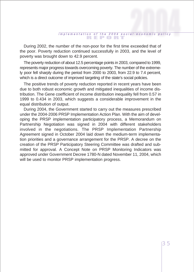During 2002, the number of the non-poor for the first time exceeded that of the poor. Poverty reduction continued successfully in 2003, and the level of poverty was brought down to 42.9 percent.

The poverty reduction of about 12.5 percentage points in 2003, compared to 1999, represents major progress towards overcoming poverty. The number of the extremely poor fell sharply during the period from 2000 to 2003, from 22.9 to 7.4 percent, which is a direct outcome of improved targeting of the state's social policies.

The positive trends of poverty reduction reported in recent years have been due to both robust economic growth and mitigated inequalities of income distribution. The Gene coefficient of income distribution inequality fell from 0.57 in 1999 to 0.434 in 2003, which suggests a considerable improvement in the equal distribution of output.

During 2004, the Government started to carry out the measures prescribed under the 2004-2006 PRSP Implementation Action Plan. With the aim of developing the PRSP implementation participatory process, a Memorandum on Partnership Negotiation was signed in 2004 with different stakeholders involved in the negotiations. The PRSP Implementation Partnership Agreement signed in October 2004 laid down the medium-term implementation priorities and a governance arrangement for the PRSP. A decree on the creation of the PRSP Participatory Steering Committee was drafted and submitted for approval. A Concept Note on PRSP Monitoring Indicators was approved under Government Decree 1780-N dated November 11, 2004, which will be used to monitor PRSP implementation progress.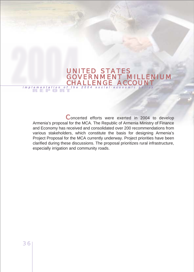# Implementation of the 2004 social-economic policy UNITED STATES<br>GOVERNMENT MILLENIUM<br>CHALLENGE ACCOUNT

Concerted efforts were exerted in 2004 to develop Armenia's proposal for the MCA. The Republic of Armenia Ministry of Finance and Economy has received and consolidated over 200 recommendations from various stakeholders, which constitute the basis for designing Armenia's Project Proposal for the MCA currently underway. Project priorities have been clarified during these discussions. The proposal prioritizes rural infrastructure, especially irrigation and community roads.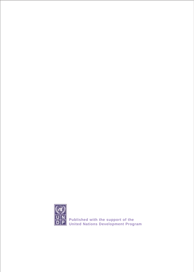

**Published with the support of the United Nations Development Program**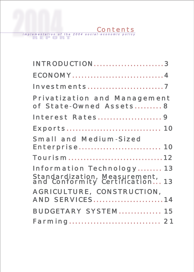implementation of the 2004 social-economic policy

| <b>INTRODUCTION3</b>                                             |  |
|------------------------------------------------------------------|--|
| ECONOMY4                                                         |  |
| <b>Investments7</b>                                              |  |
| <b>Privatization and Management</b><br>of State-Owned Assets8    |  |
| <b>Interest Rates9</b>                                           |  |
|                                                                  |  |
| <b>Small and Medium-Sized</b>                                    |  |
| Enterprise 10                                                    |  |
| Tourism12                                                        |  |
| <b>Information Technology 13</b>                                 |  |
| Standardization, Measurement,<br>and Conformity Certification 13 |  |
| AGRICULTURE, CONSTRUCTION,<br><b>AND SERVICES14</b>              |  |
|                                                                  |  |
| <b>BUDGETARY SYSTEM 15</b>                                       |  |
| <b>Farming 21</b>                                                |  |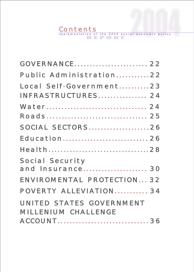# Contents<br>
Implementation of the 2004 social-economic policy<br>
EPORT

| <b>GOVERNANCE 22</b>             |  |
|----------------------------------|--|
| Public Administration22          |  |
| Local Self-Government23          |  |
| <b>INFRASTRUCTURES 24</b>        |  |
| Water 24                         |  |
| Roads 25                         |  |
| <b>SOCIAL SECTORS26</b>          |  |
| <b>Education 26</b>              |  |
| Health28                         |  |
| <b>Social Security</b>           |  |
| and Insurance 30                 |  |
| <b>ENVIROMENTAL PROTECTION32</b> |  |
| POVERTY ALLEVIATION 34           |  |
| <b>UNITED STATES GOVERNMENT</b>  |  |
| <b>MILLENIUM CHALLENGE</b>       |  |
| ACCOUNT36                        |  |